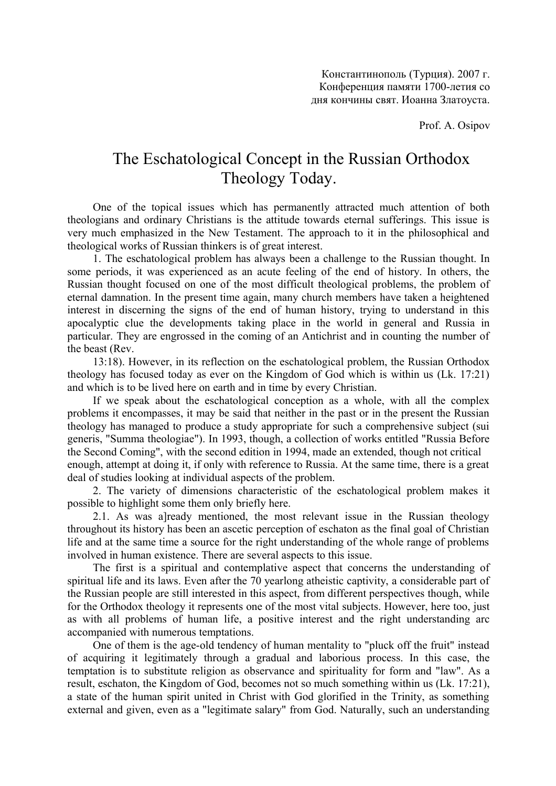Prof. A. Osipov

## The Eschatological Concept in the Russian Orthodox Theology Today.

One of the topical issues which has permanently attracted much attention of both theologians and ordinary Christians is the attitude towards eternal sufferings. This issue is very much emphasized in the New Testament. The approach to it in the philosophical and theological works of Russian thinkers is of great interest.

1. The eschatological problem has always been a challenge to the Russian thought. In some periods, it was experienced as an acute feeling of the end of history. In others, the Russian thought focused on one of the most difficult theological problems, the problem of eternal damnation. In the present time again, many church members have taken a heightened interest in discerning the signs of the end of human history, trying to understand in this apocalyptic clue the developments taking place in the world in general and Russia in particular. They are engrossed in the coming of an Antichrist and in counting the number of the beast (Rev.

13:18). However, in its reflection on the eschatological problem, the Russian Orthodox theology has focused today as ever on the Kingdom of God which is within us (Lk. 17:21) and which is to be lived here on earth and in time by every Christian.

If we speak about the eschatological conception as a whole, with all the complex problems it encompasses, it may be said that neither in the past or in the present the Russian theology has managed to produce a study appropriate for such a comprehensive subject (sui generis, "Summa theologiae"). In 1993, though, a collection of works entitled "Russia Before the Second Coming", with the second edition in 1994, made an extended, though not critical enough, attempt at doing it, if only with reference to Russia. At the same time, there is a great deal of studies looking at individual aspects of the problem.

2. The variety of dimensions characteristic of the eschatological problem makes it possible to highlight some them only briefly here.

2.1. As was a]ready mentioned, the most relevant issue in the Russian theology throughout its history has been an ascetic perception of eschaton as the final goal of Christian life and at the same time a source for the right understanding of the whole range of problems involved in human existence. There are several aspects to this issue.

The first is a spiritual and contemplative aspect that concerns the understanding of spiritual life and its laws. Even after the 70 yearlong atheistic captivity, a considerable part of the Russian people are still interested in this aspect, from different perspectives though, while for the Orthodox theology it represents one of the most vital subjects. However, here too, just as with all problems of human life, a positive interest and the right understanding arc accompanied with numerous temptations.

One of them is the age-old tendency of human mentality to "pluck off the fruit" instead of acquiring it legitimately through a gradual and laborious process. In this case, the temptation is to substitute religion as observance and spirituality for form and "law". As a result, eschaton, the Kingdom of God, becomes not so much something within us (Lk. 17:21), a state of the human spirit united in Christ with God glorified in the Trinity, as something external and given, even as a "legitimate salary" from God. Naturally, such an understanding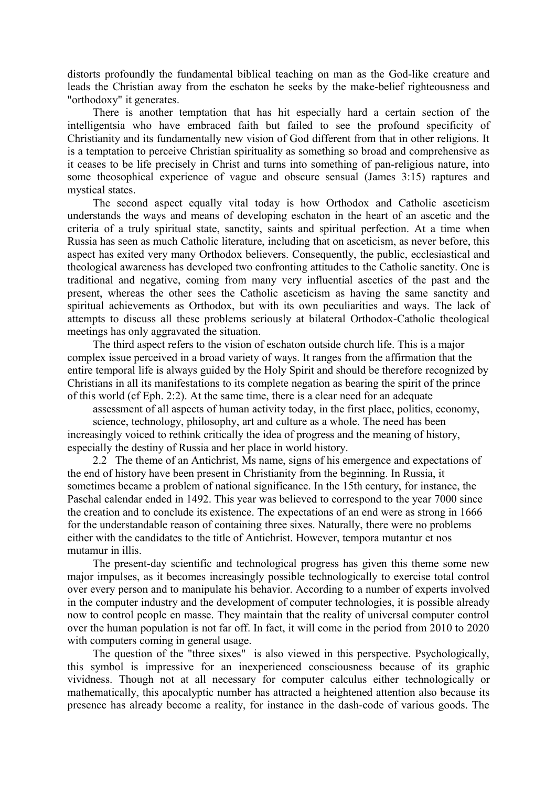distorts profoundly the fundamental biblical teaching on man as the God-like creature and leads the Christian away from the eschaton he seeks by the make-belief righteousness and "orthodoxy" it generates.

There is another temptation that has hit especially hard a certain section of the intelligentsia who have embraced faith but failed to see the profound specificity of Christianity and its fundamentally new vision of God different from that in other religions. It is a temptation to perceive Christian spirituality as something so broad and comprehensive as it ceases to be life precisely in Christ and turns into something of pan-religious nature, into some theosophical experience of vague and obscure sensual (James 3:15) raptures and mystical states.

The second aspect equally vital today is how Orthodox and Catholic asceticism understands the ways and means of developing eschaton in the heart of an ascetic and the criteria of a truly spiritual state, sanctity, saints and spiritual perfection. At a time when Russia has seen as much Catholic literature, including that on asceticism, as never before, this aspect has exited very many Orthodox believers. Consequently, the public, ecclesiastical and theological awareness has developed two confronting attitudes to the Catholic sanctity. One is traditional and negative, coming from many very influential ascetics of the past and the present, whereas the other sees the Catholic asceticism as having the same sanctity and spiritual achievements as Orthodox, but with its own peculiarities and ways. The lack of attempts to discuss all these problems seriously at bilateral Orthodox-Catholic theological meetings has only aggravated the situation.

The third aspect refers to the vision of eschaton outside church life. This is a major complex issue perceived in a broad variety of ways. It ranges from the affirmation that the entire temporal life is always guided by the Holy Spirit and should be therefore recognized by Christians in all its manifestations to its complete negation as bearing the spirit of the prince of this world (cf Eph. 2:2). At the same time, there is a clear need for an adequate

assessment of all aspects of human activity today, in the first place, politics, economy, science, technology, philosophy, art and culture as a whole. The need has been increasingly voiced to rethink critically the idea of progress and the meaning of history, especially the destiny of Russia and her place in world history.

2.2 The theme of an Antichrist, Ms name, signs of his emergence and expectations of the end of history have been present in Christianity from the beginning. In Russia, it sometimes became a problem of national significance. In the 15th century, for instance, the Paschal calendar ended in 1492. This year was believed to correspond to the year 7000 since the creation and to conclude its existence. The expectations of an end were as strong in 1666 for the understandable reason of containing three sixes. Naturally, there were no problems either with the candidates to the title of Antichrist. However, tempora mutantur et nos mutamur in illis.

The present-day scientific and technological progress has given this theme some new major impulses, as it becomes increasingly possible technologically to exercise total control over every person and to manipulate his behavior. According to a number of experts involved in the computer industry and the development of computer technologies, it is possible already now to control people en masse. They maintain that the reality of universal computer control over the human population is not far off. In fact, it will come in the period from 2010 to 2020 with computers coming in general usage.

The question of the "three sixes" is also viewed in this perspective. Psychologically, this symbol is impressive for an inexperienced consciousness because of its graphic vividness. Though not at all necessary for computer calculus either technologically or mathematically, this apocalyptic number has attracted a heightened attention also because its presence has already become a reality, for instance in the dash-code of various goods. The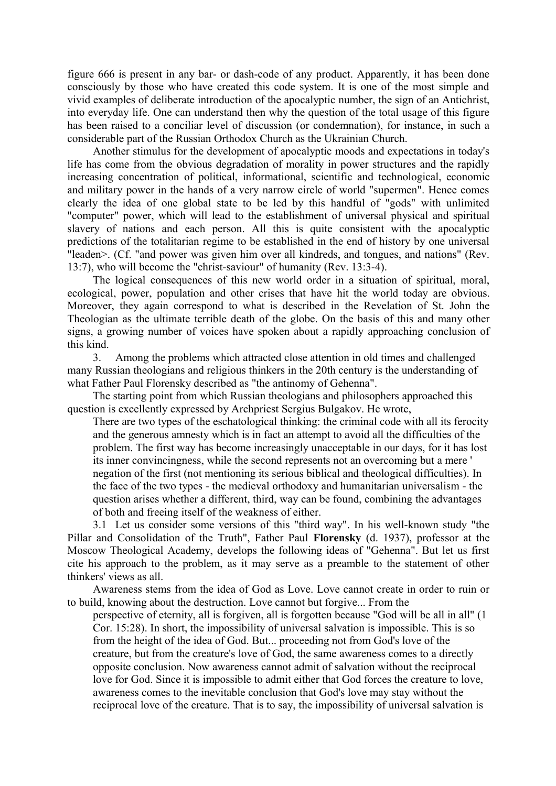figure 666 is present in any bar- or dash-code of any product. Apparently, it has been done consciously by those who have created this code system. It is one of the most simple and vivid examples of deliberate introduction of the apocalyptic number, the sign of an Antichrist, into everyday life. One can understand then why the question of the total usage of this figure has been raised to a conciliar level of discussion (or condemnation), for instance, in such a considerable part of the Russian Orthodox Church as the Ukrainian Church.

Another stimulus for the development of apocalyptic moods and expectations in today's life has come from the obvious degradation of morality in power structures and the rapidly increasing concentration of political, informational, scientific and technological, economic and military power in the hands of a very narrow circle of world "supermen". Hence comes clearly the idea of one global state to be led by this handful of "gods" with unlimited "computer" power, which will lead to the establishment of universal physical and spiritual slavery of nations and each person. All this is quite consistent with the apocalyptic predictions of the totalitarian regime to be established in the end of history by one universal "leaden>. (Cf. "and power was given him over all kindreds, and tongues, and nations" (Rev. 13:7), who will become the "christ-saviour" of humanity (Rev. 13:3-4).

The logical consequences of this new world order in a situation of spiritual, moral, ecological, power, population and other crises that have hit the world today are obvious. Moreover, they again correspond to what is described in the Revelation of St. John the Theologian as the ultimate terrible death of the globe. On the basis of this and many other signs, a growing number of voices have spoken about a rapidly approaching conclusion of this kind.

3. Among the problems which attracted close attention in old times and challenged many Russian theologians and religious thinkers in the 20th century is the understanding of what Father Paul Florensky described as "the antinomy of Gehenna".

The starting point from which Russian theologians and philosophers approached this question is excellently expressed by Archpriest Sergius Bulgakov. He wrote,

There are two types of the eschatological thinking: the criminal code with all its ferocity and the generous amnesty which is in fact an attempt to avoid all the difficulties of the problem. The first way has become increasingly unacceptable in our days, for it has lost its inner convincingness, while the second represents not an overcoming but a mere ' negation of the first (not mentioning its serious biblical and theological difficulties). In the face of the two types - the medieval orthodoxy and humanitarian universalism - the question arises whether a different, third, way can be found, combining the advantages of both and freeing itself of the weakness of either.

3.1 Let us consider some versions of this "third way". In his well-known study "the Pillar and Consolidation of the Truth", Father Paul **Florensky** (d. 1937), professor at the Moscow Theological Academy, develops the following ideas of "Gehenna". But let us first cite his approach to the problem, as it may serve as a preamble to the statement of other thinkers' views as all.

Awareness stems from the idea of God as Love. Love cannot create in order to ruin or to build, knowing about the destruction. Love cannot but forgive... From the

perspective of eternity, all is forgiven, all is forgotten because "God will be all in all" (1 Cor. 15:28). In short, the impossibility of universal salvation is impossible. This is so from the height of the idea of God. But... proceeding not from God's love of the creature, but from the creature's love of God, the same awareness comes to a directly opposite conclusion. Now awareness cannot admit of salvation without the reciprocal love for God. Since it is impossible to admit either that God forces the creature to love, awareness comes to the inevitable conclusion that God's love may stay without the reciprocal love of the creature. That is to say, the impossibility of universal salvation is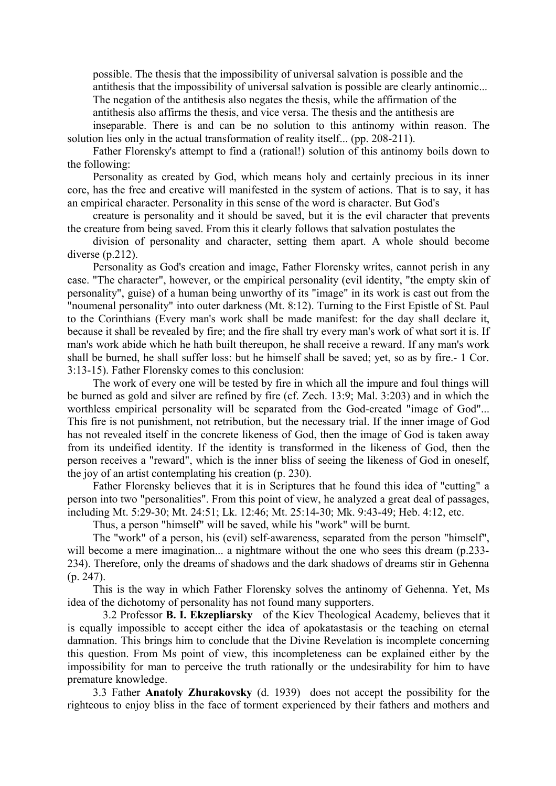possible. The thesis that the impossibility of universal salvation is possible and the antithesis that the impossibility of universal salvation is possible are clearly antinomic...

The negation of the antithesis also negates the thesis, while the affirmation of the antithesis also affirms the thesis, and vice versa. The thesis and the antithesis are

inseparable. There is and can be no solution to this antinomy within reason. The solution lies only in the actual transformation of reality itself... (pp. 208-211).

Father Florensky's attempt to find a (rational!) solution of this antinomy boils down to the following:

Personality as created by God, which means holy and certainly precious in its inner core, has the free and creative will manifested in the system of actions. That is to say, it has an empirical character. Personality in this sense of the word is character. But God's

creature is personality and it should be saved, but it is the evil character that prevents the creature from being saved. From this it clearly follows that salvation postulates the

division of personality and character, setting them apart. A whole should become diverse (p.212).

Personality as God's creation and image, Father Florensky writes, cannot perish in any case. "The character", however, or the empirical personality (evil identity, "the empty skin of personality", guise) of a human being unworthy of its "image" in its work is cast out from the "noumenal personality" into outer darkness (Mt. 8:12). Turning to the First Epistle of St. Paul to the Corinthians (Every man's work shall be made manifest: for the day shall declare it, because it shall be revealed by fire; and the fire shall try every man's work of what sort it is. If man's work abide which he hath built thereupon, he shall receive a reward. If any man's work shall be burned, he shall suffer loss: but he himself shall be saved; yet, so as by fire.- 1 Cor. 3:13-15). Father Florensky comes to this conclusion:

The work of every one will be tested by fire in which all the impure and foul things will be burned as gold and silver are refined by fire (cf. Zech. 13:9; Mal. 3:203) and in which the worthless empirical personality will be separated from the God-created "image of God"... This fire is not punishment, not retribution, but the necessary trial. If the inner image of God has not revealed itself in the concrete likeness of God, then the image of God is taken away from its undeified identity. If the identity is transformed in the likeness of God, then the person receives a "reward", which is the inner bliss of seeing the likeness of God in oneself, the joy of an artist contemplating his creation (p. 230).

Father Florensky believes that it is in Scriptures that he found this idea of "cutting" a person into two "personalities". From this point of view, he analyzed a great deal of passages, including Mt. 5:29-30; Mt. 24:51; Lk. 12:46; Mt. 25:14-30; Mk. 9:43-49; Heb. 4:12, etc.

Thus, a person "himself" will be saved, while his "work" will be burnt.

The "work" of a person, his (evil) self-awareness, separated from the person "himself", will become a mere imagination... a nightmare without the one who sees this dream (p.233-234). Therefore, only the dreams of shadows and the dark shadows of dreams stir in Gehenna (p. 247).

This is the way in which Father Florensky solves the antinomy of Gehenna. Yet, Ms idea of the dichotomy of personality has not found many supporters.

 3.2 Professor **B. I. Ekzepliarsky** of the Kiev Theological Academy, believes that it is equally impossible to accept either the idea of apokatastasis or the teaching on eternal damnation. This brings him to conclude that the Divine Revelation is incomplete concerning this question. From Ms point of view, this incompleteness can be explained either by the impossibility for man to perceive the truth rationally or the undesirability for him to have premature knowledge.

3.3 Father **Anatoly Zhurakovsky** (d. 1939) does not accept the possibility for the righteous to enjoy bliss in the face of torment experienced by their fathers and mothers and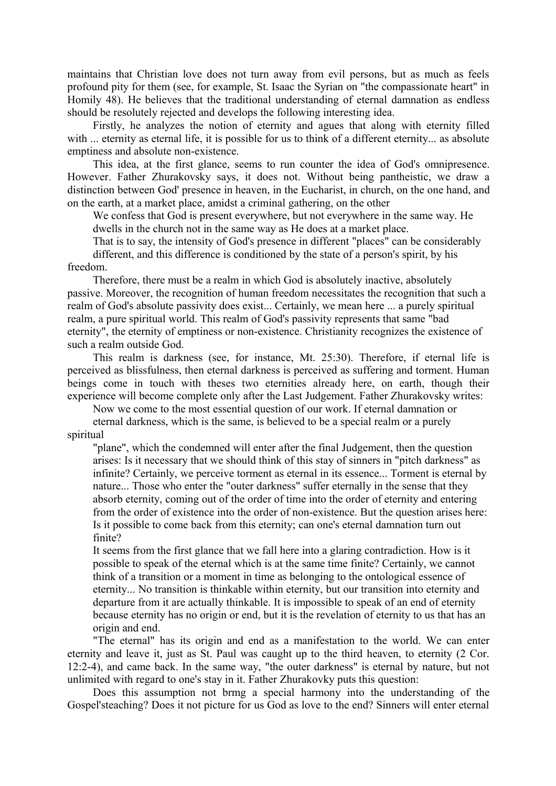maintains that Christian love does not turn away from evil persons, but as much as feels profound pity for them (see, for example, St. Isaac the Syrian on "the compassionate heart" in Homily 48). He believes that the traditional understanding of eternal damnation as endless should be resolutely rejected and develops the following interesting idea.

Firstly, he analyzes the notion of eternity and agues that along with eternity filled with ... eternity as eternal life, it is possible for us to think of a different eternity... as absolute emptiness and absolute non-existence.

This idea, at the first glance, seems to run counter the idea of God's omnipresence. However. Father Zhurakovsky says, it does not. Without being pantheistic, we draw a distinction between God' presence in heaven, in the Eucharist, in church, on the one hand, and on the earth, at a market place, amidst a criminal gathering, on the other

We confess that God is present everywhere, but not everywhere in the same way. He dwells in the church not in the same way as He does at a market place.

That is to say, the intensity of God's presence in different "places" can be considerably different, and this difference is conditioned by the state of a person's spirit, by his freedom.

Therefore, there must be a realm in which God is absolutely inactive, absolutely passive. Moreover, the recognition of human freedom necessitates the recognition that such a realm of God's absolute passivity does exist... Certainly, we mean here ... a purely spiritual realm, a pure spiritual world. This realm of God's passivity represents that same "bad eternity", the eternity of emptiness or non-existence. Christianity recognizes the existence of such a realm outside God.

This realm is darkness (see, for instance, Mt. 25:30). Therefore, if eternal life is perceived as blissfulness, then eternal darkness is perceived as suffering and torment. Human beings come in touch with theses two eternities already here, on earth, though their experience will become complete only after the Last Judgement. Father Zhurakovsky writes:

Now we come to the most essential question of our work. If eternal damnation or

eternal darkness, which is the same, is believed to be a special realm or a purely spiritual

"plane", which the condemned will enter after the final Judgement, then the question arises: Is it necessary that we should think of this stay of sinners in "pitch darkness" as infinite? Certainly, we perceive torment as eternal in its essence... Torment is eternal by nature... Those who enter the "outer darkness" suffer eternally in the sense that they absorb eternity, coming out of the order of time into the order of eternity and entering from the order of existence into the order of non-existence. But the question arises here: Is it possible to come back from this eternity; can one's eternal damnation turn out finite?

It seems from the first glance that we fall here into a glaring contradiction. How is it possible to speak of the eternal which is at the same time finite? Certainly, we cannot think of a transition or a moment in time as belonging to the ontological essence of eternity... No transition is thinkable within eternity, but our transition into eternity and departure from it are actually thinkable. It is impossible to speak of an end of eternity because eternity has no origin or end, but it is the revelation of eternity to us that has an origin and end.

"The eternal" has its origin and end as a manifestation to the world. We can enter eternity and leave it, just as St. Paul was caught up to the third heaven, to eternity (2 Cor. 12:2-4), and came back. In the same way, "the outer darkness" is eternal by nature, but not unlimited with regard to one's stay in it. Father Zhurakovky puts this question:

Does this assumption not brmg a special harmony into the understanding of the Gospel'steaching? Does it not picture for us God as love to the end? Sinners will enter eternal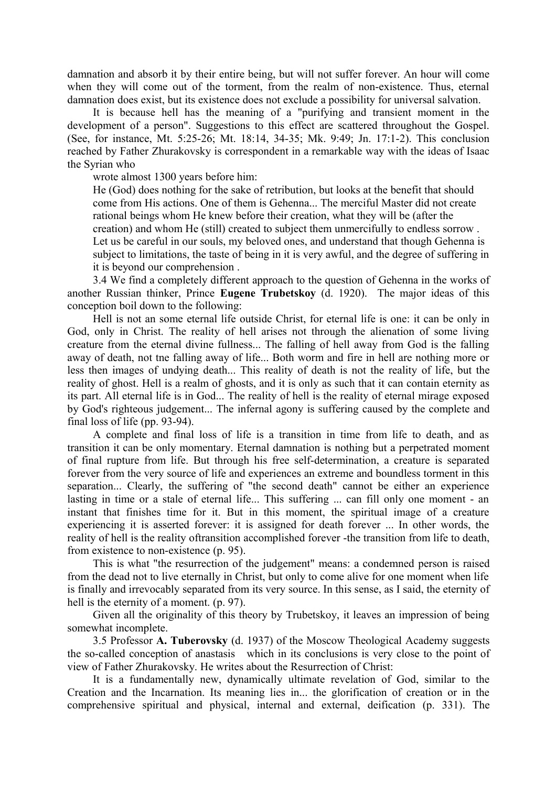damnation and absorb it by their entire being, but will not suffer forever. An hour will come when they will come out of the torment, from the realm of non-existence. Thus, eternal damnation does exist, but its existence does not exclude a possibility for universal salvation.

It is because hell has the meaning of a "purifying and transient moment in the development of a person". Suggestions to this effect are scattered throughout the Gospel. (See, for instance, Mt. 5:25-26; Mt. 18:14, 34-35; Mk. 9:49; Jn. 17:1-2). This conclusion reached by Father Zhurakovsky is correspondent in a remarkable way with the ideas of Isaac the Syrian who

wrote almost 1300 years before him:

He (God) does nothing for the sake of retribution, but looks at the benefit that should come from His actions. One of them is Gehenna... The merciful Master did not create rational beings whom He knew before their creation, what they will be (after the creation) and whom He (still) created to subject them unmercifully to endless sorrow . Let us be careful in our souls, my beloved ones, and understand that though Gehenna is subject to limitations, the taste of being in it is very awful, and the degree of suffering in it is beyond our comprehension .

3.4 We find a completely different approach to the question of Gehenna in the works of another Russian thinker, Prince **Eugene Trubetskoy** (d. 1920). The major ideas of this conception boil down to the following:

Hell is not an some eternal life outside Christ, for eternal life is one: it can be only in God, only in Christ. The reality of hell arises not through the alienation of some living creature from the eternal divine fullness... The falling of hell away from God is the falling away of death, not tne falling away of life... Both worm and fire in hell are nothing more or less then images of undying death... This reality of death is not the reality of life, but the reality of ghost. Hell is a realm of ghosts, and it is only as such that it can contain eternity as its part. All eternal life is in God... The reality of hell is the reality of eternal mirage exposed by God's righteous judgement... The infernal agony is suffering caused by the complete and final loss of life (pp. 93-94).

A complete and final loss of life is a transition in time from life to death, and as transition it can be only momentary. Eternal damnation is nothing but a perpetrated moment of final rupture from life. But through his free self-determination, a creature is separated forever from the very source of life and experiences an extreme and boundless torment in this separation... Clearly, the suffering of "the second death" cannot be either an experience lasting in time or a stale of eternal life... This suffering ... can fill only one moment - an instant that finishes time for it. But in this moment, the spiritual image of a creature experiencing it is asserted forever: it is assigned for death forever ... In other words, the reality of hell is the reality oftransition accomplished forever -the transition from life to death, from existence to non-existence (p. 95).

This is what "the resurrection of the judgement" means: a condemned person is raised from the dead not to live eternally in Christ, but only to come alive for one moment when life is finally and irrevocably separated from its very source. In this sense, as I said, the eternity of hell is the eternity of a moment. (p. 97).

Given all the originality of this theory by Trubetskoy, it leaves an impression of being somewhat incomplete.

3.5 Professor **A. Tuberovsky** (d. 1937) of the Moscow Theological Academy suggests the so-called conception of anastasis which in its conclusions is very close to the point of view of Father Zhurakovsky. He writes about the Resurrection of Christ:

It is a fundamentally new, dynamically ultimate revelation of God, similar to the Creation and the Incarnation. Its meaning lies in... the glorification of creation or in the comprehensive spiritual and physical, internal and external, deification (p. 331). The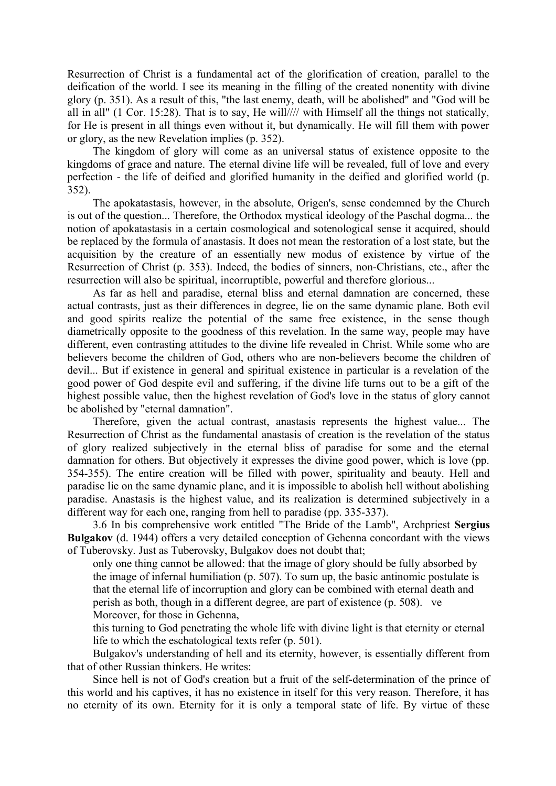Resurrection of Christ is a fundamental act of the glorification of creation, parallel to the deification of the world. I see its meaning in the filling of the created nonentity with divine glory (p. 351). As a result of this, "the last enemy, death, will be abolished" and "God will be all in all" (1 Cor. 15:28). That is to say, He will//// with Himself all the things not statically, for He is present in all things even without it, but dynamically. He will fill them with power or glory, as the new Revelation implies (p. 352).

The kingdom of glory will come as an universal status of existence opposite to the kingdoms of grace and nature. The eternal divine life will be revealed, full of love and every perfection - the life of deified and glorified humanity in the deified and glorified world (p. 352).

The apokatastasis, however, in the absolute, Origen's, sense condemned by the Church is out of the question... Therefore, the Orthodox mystical ideology of the Paschal dogma... the notion of apokatastasis in a certain cosmological and sotenological sense it acquired, should be replaced by the formula of anastasis. It does not mean the restoration of a lost state, but the acquisition by the creature of an essentially new modus of existence by virtue of the Resurrection of Christ (p. 353). Indeed, the bodies of sinners, non-Christians, etc., after the resurrection will also be spiritual, incorruptible, powerful and therefore glorious...

As far as hell and paradise, eternal bliss and eternal damnation are concerned, these actual contrasts, just as their differences in degree, lie on the same dynamic plane. Both evil and good spirits realize the potential of the same free existence, in the sense though diametrically opposite to the goodness of this revelation. In the same way, people may have different, even contrasting attitudes to the divine life revealed in Christ. While some who are believers become the children of God, others who are non-believers become the children of devil... But if existence in general and spiritual existence in particular is a revelation of the good power of God despite evil and suffering, if the divine life turns out to be a gift of the highest possible value, then the highest revelation of God's love in the status of glory cannot be abolished by "eternal damnation".

Therefore, given the actual contrast, anastasis represents the highest value... The Resurrection of Christ as the fundamental anastasis of creation is the revelation of the status of glory realized subjectively in the eternal bliss of paradise for some and the eternal damnation for others. But objectively it expresses the divine good power, which is love (pp. 354-355). The entire creation will be filled with power, spirituality and beauty. Hell and paradise lie on the same dynamic plane, and it is impossible to abolish hell without abolishing paradise. Anastasis is the highest value, and its realization is determined subjectively in a different way for each one, ranging from hell to paradise (pp. 335-337).

3.6 In bis comprehensive work entitled "The Bride of the Lamb", Archpriest **Sergius Bulgakov** (d. 1944) offers a very detailed conception of Gehenna concordant with the views of Tuberovsky. Just as Tuberovsky, Bulgakov does not doubt that;

only one thing cannot be allowed: that the image of glory should be fully absorbed by the image of infernal humiliation (p. 507). To sum up, the basic antinomic postulate is that the eternal life of incorruption and glory can be combined with eternal death and perish as both, though in a different degree, are part of existence (p. 508). ve Moreover, for those in Gehenna,

this turning to God penetrating the whole life with divine light is that eternity or eternal life to which the eschatological texts refer (p. 501).

Bulgakov's understanding of hell and its eternity, however, is essentially different from that of other Russian thinkers. He writes:

Since hell is not of God's creation but a fruit of the self-determination of the prince of this world and his captives, it has no existence in itself for this very reason. Therefore, it has no eternity of its own. Eternity for it is only a temporal state of life. By virtue of these